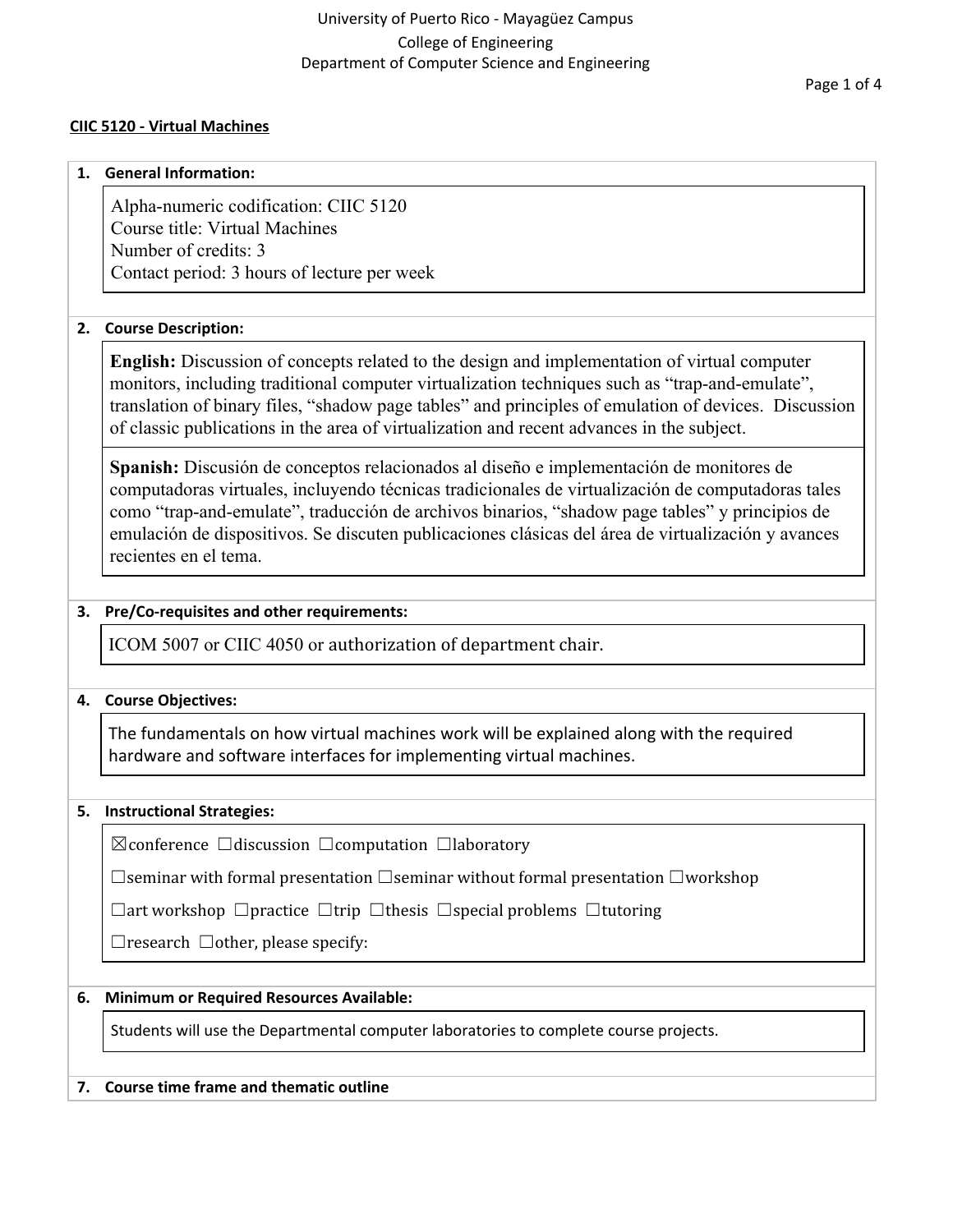## **CIIC 5120 - Virtual Machines**

#### **1. General Information:**

Alpha-numeric codification: CIIC 5120 Course title: Virtual Machines Number of credits: 3 Contact period: 3 hours of lecture per week

## **2. Course Description:**

**English:** Discussion of concepts related to the design and implementation of virtual computer monitors, including traditional computer virtualization techniques such as "trap-and-emulate", translation of binary files, "shadow page tables" and principles of emulation of devices. Discussion of classic publications in the area of virtualization and recent advances in the subject.

**Spanish:** Discusión de conceptos relacionados al diseño e implementación de monitores de computadoras virtuales, incluyendo técnicas tradicionales de virtualización de computadoras tales como "trap-and-emulate", traducción de archivos binarios, "shadow page tables" y principios de emulación de dispositivos. Se discuten publicaciones clásicas del área de virtualización y avances recientes en el tema.

## **3. Pre/Co-requisites and other requirements:**

ICOM 5007 or CIIC 4050 or authorization of department chair.

#### **4. Course Objectives:**

The fundamentals on how virtual machines work will be explained along with the required hardware and software interfaces for implementing virtual machines.

#### **5. Instructional Strategies:**

☒conference ☐discussion ☐computation ☐laboratory

☐seminar with formal presentation ☐seminar without formal presentation ☐workshop

☐art workshop ☐practice ☐trip ☐thesis ☐special problems ☐tutoring

 $\Box$ research  $\Box$ other, please specify:

## **6. Minimum or Required Resources Available:**

Students will use the Departmental computer laboratories to complete course projects.

#### **7. Course time frame and thematic outline**

Page 1 of 4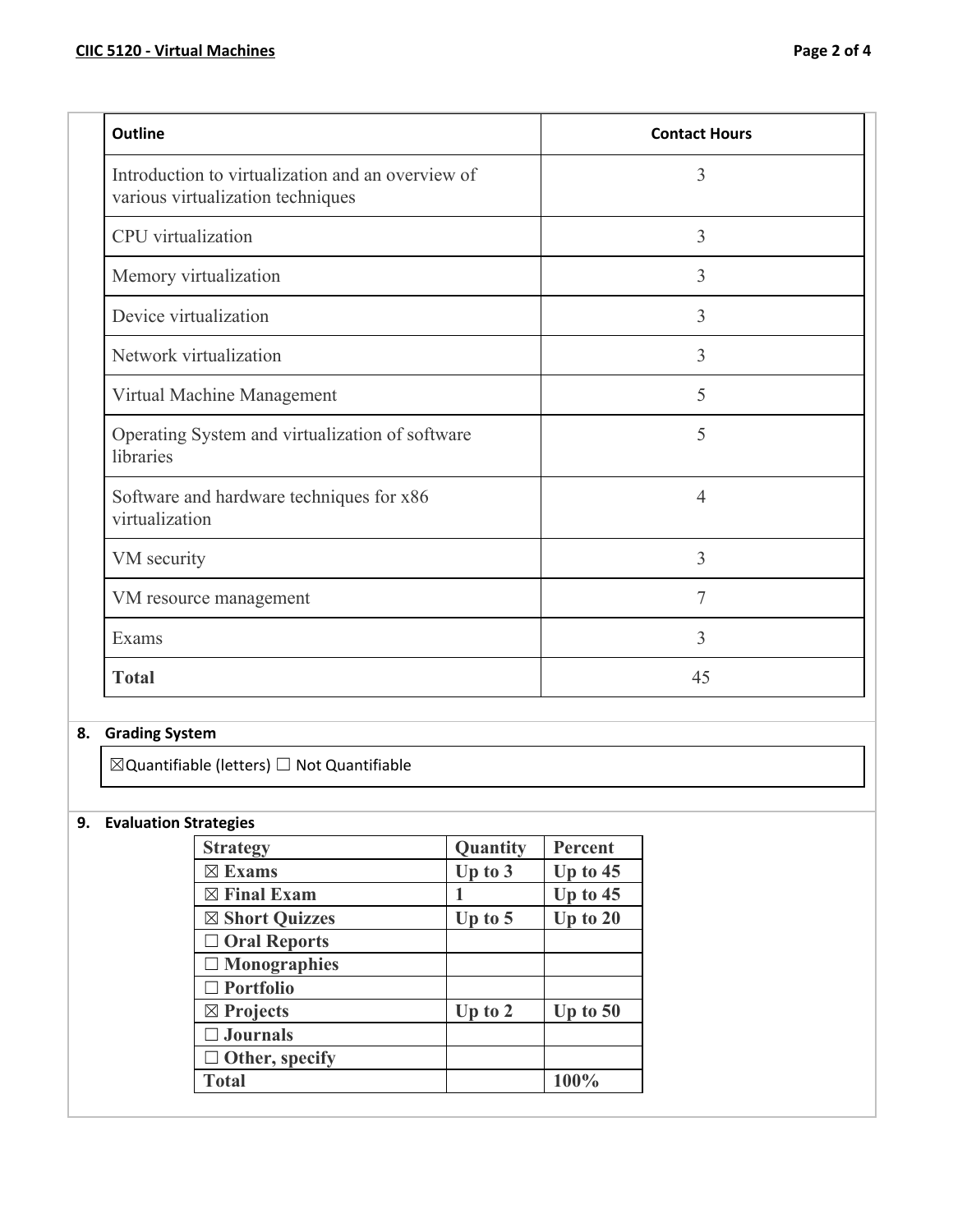| <b>Outline</b>                                                                         | <b>Contact Hours</b> |
|----------------------------------------------------------------------------------------|----------------------|
| Introduction to virtualization and an overview of<br>various virtualization techniques | 3                    |
| CPU virtualization                                                                     | 3                    |
| Memory virtualization                                                                  | 3                    |
| Device virtualization                                                                  | 3                    |
| Network virtualization                                                                 | 3                    |
| Virtual Machine Management                                                             | 5                    |
| Operating System and virtualization of software<br>libraries                           | 5                    |
| Software and hardware techniques for x86<br>virtualization                             | $\overline{4}$       |
| VM security                                                                            | $\overline{3}$       |
| VM resource management                                                                 | $\overline{7}$       |
| Exams                                                                                  | 3                    |
| <b>Total</b>                                                                           | 45                   |

## **8. Grading System**

 $\boxtimes$ Quantifiable (letters)  $\Box$  Not Quantifiable

# **9. Evaluation Strategies**

| <b>Strategy</b>        | Quantity  | Percent    |
|------------------------|-----------|------------|
| $\boxtimes$ Exams      | Up to $3$ | Up to $45$ |
| $\boxtimes$ Final Exam |           | Up to $45$ |
| ⊠ Short Quizzes        | Up to $5$ | Up to $20$ |
| $\Box$ Oral Reports    |           |            |
| $\Box$ Monographies    |           |            |
| $\Box$ Portfolio       |           |            |
| $\boxtimes$ Projects   | Up to $2$ | Up to $50$ |
| $\Box$ Journals        |           |            |
| $\Box$ Other, specify  |           |            |
| <b>Total</b>           |           | 100%       |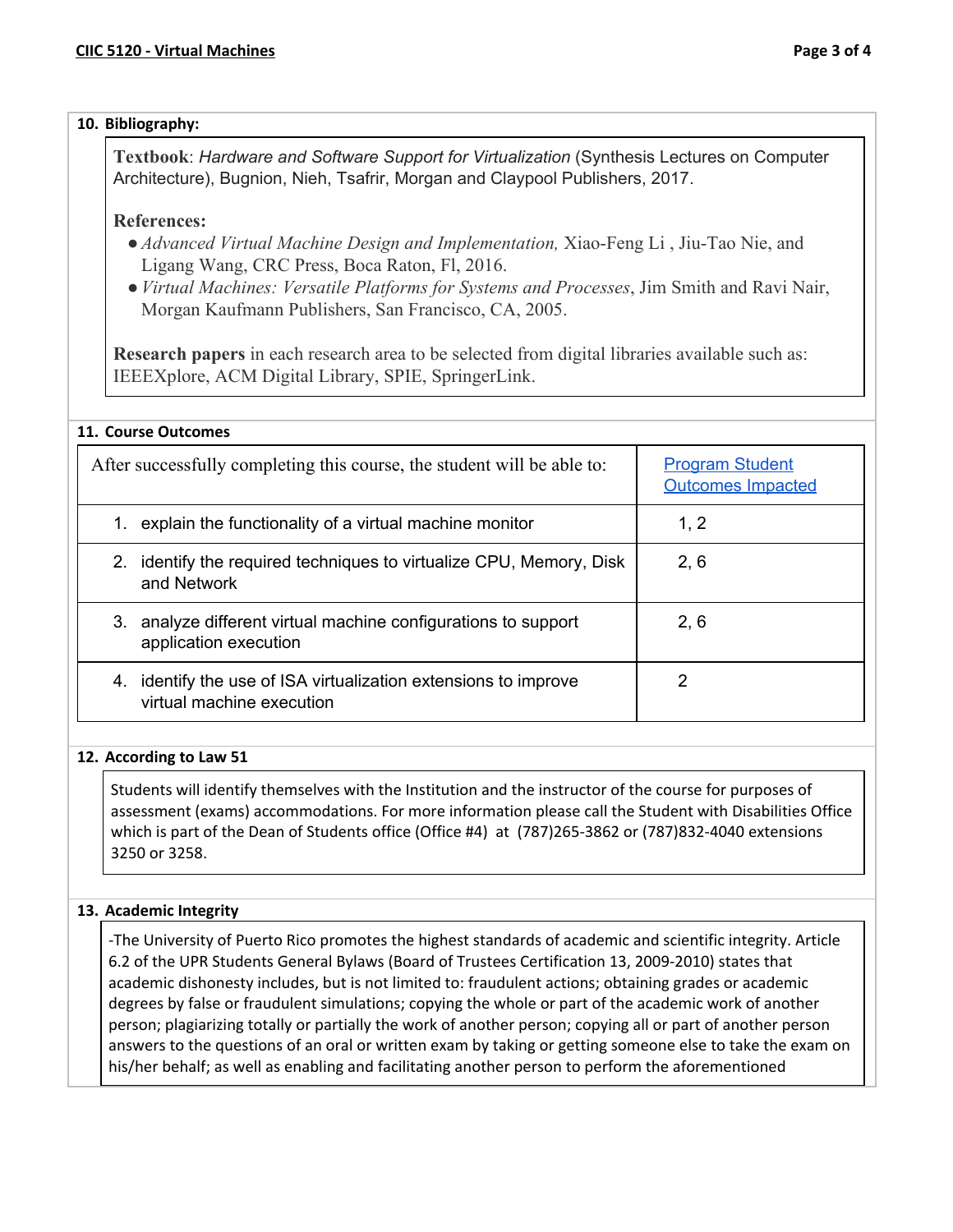## **10. Bibliography:**

**Textbook**: *Hardware and Software Support for Virtualization* (Synthesis Lectures on Computer Architecture), Bugnion, Nieh, Tsafrir, Morgan and Claypool Publishers, 2017.

## **References:**

- ●*Advanced Virtual Machine Design and Implementation,* Xiao-Feng Li , Jiu-Tao Nie, and Ligang Wang, CRC Press, Boca Raton, Fl, 2016.
- ●*Virtual Machines: Versatile Platforms for Systems and Processes*, Jim Smith and Ravi Nair, Morgan Kaufmann Publishers, San Francisco, CA, 2005.

**Research papers** in each research area to be selected from digital libraries available such as: IEEEXplore, ACM Digital Library, SPIE, SpringerLink.

| 11. Course Outcomes                                                                             |                                                    |  |
|-------------------------------------------------------------------------------------------------|----------------------------------------------------|--|
| After successfully completing this course, the student will be able to:                         | <b>Program Student</b><br><b>Outcomes Impacted</b> |  |
| explain the functionality of a virtual machine monitor<br>1.                                    | 1, 2                                               |  |
| identify the required techniques to virtualize CPU, Memory, Disk<br>2.<br>and Network           | 2, 6                                               |  |
| 3.<br>analyze different virtual machine configurations to support<br>application execution      | 2, 6                                               |  |
| identify the use of ISA virtualization extensions to improve<br>4.<br>virtual machine execution | 2                                                  |  |

## **12. According to Law 51**

Students will identify themselves with the Institution and the instructor of the course for purposes of assessment (exams) accommodations. For more information please call the Student with Disabilities Office which is part of the Dean of Students office (Office #4) at (787)265-3862 or (787)832-4040 extensions 3250 or 3258.

## **13. Academic Integrity**

-The University of Puerto Rico promotes the highest standards of academic and scientific integrity. Article 6.2 of the UPR Students General Bylaws (Board of Trustees Certification 13, 2009-2010) states that academic dishonesty includes, but is not limited to: fraudulent actions; obtaining grades or academic degrees by false or fraudulent simulations; copying the whole or part of the academic work of another person; plagiarizing totally or partially the work of another person; copying all or part of another person answers to the questions of an oral or written exam by taking or getting someone else to take the exam on his/her behalf; as well as enabling and facilitating another person to perform the aforementioned